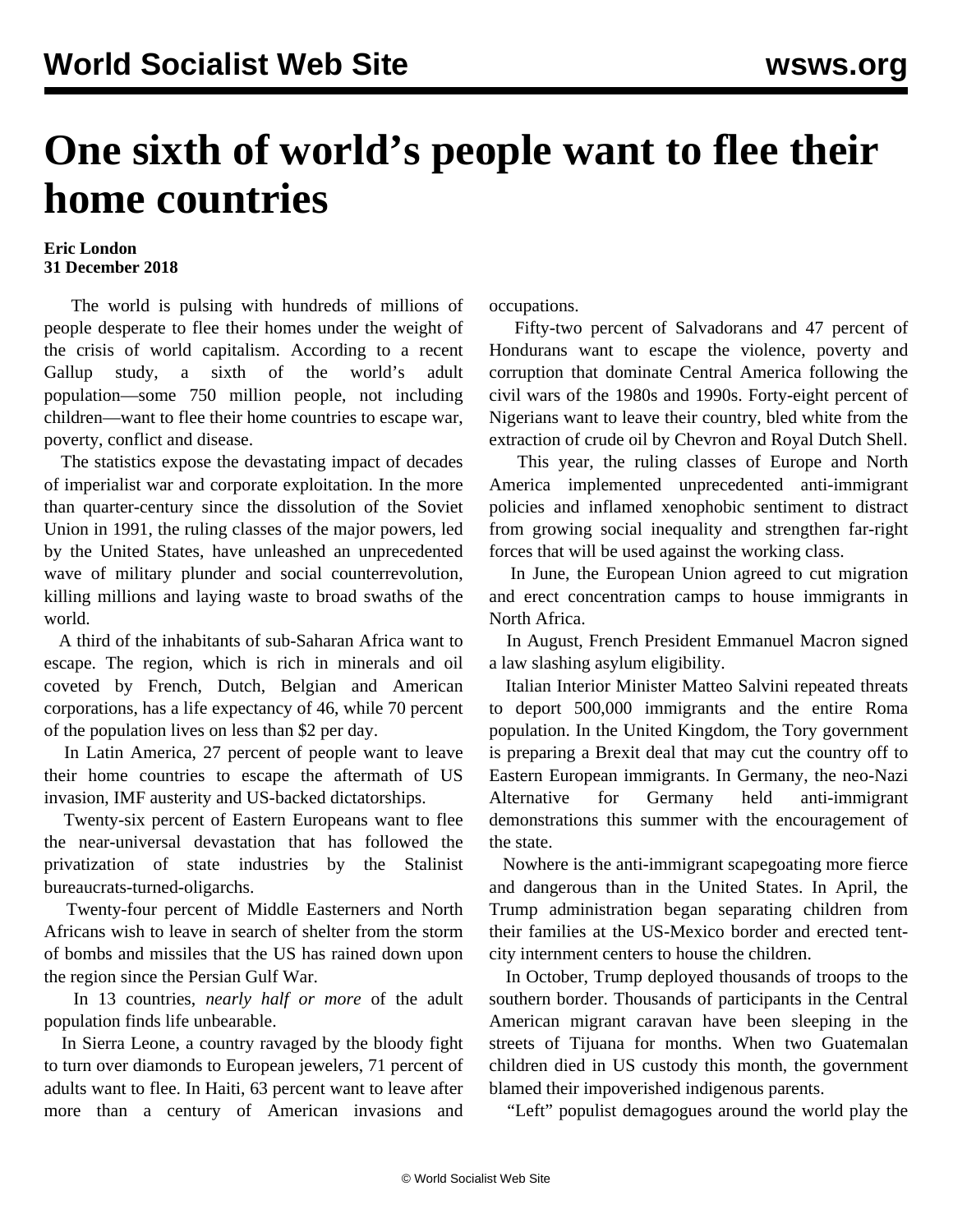## **One sixth of world's people want to flee their home countries**

## **Eric London 31 December 2018**

 The world is pulsing with hundreds of millions of people desperate to flee their homes under the weight of the crisis of world capitalism. According to a recent Gallup study, a sixth of the world's adult population—some 750 million people, not including children—want to flee their home countries to escape war, poverty, conflict and disease.

 The statistics expose the devastating impact of decades of imperialist war and corporate exploitation. In the more than quarter-century since the dissolution of the Soviet Union in 1991, the ruling classes of the major powers, led by the United States, have unleashed an unprecedented wave of military plunder and social counterrevolution, killing millions and laying waste to broad swaths of the world.

 A third of the inhabitants of sub-Saharan Africa want to escape. The region, which is rich in minerals and oil coveted by French, Dutch, Belgian and American corporations, has a life expectancy of 46, while 70 percent of the population lives on less than \$2 per day.

 In Latin America, 27 percent of people want to leave their home countries to escape the aftermath of US invasion, IMF austerity and US-backed dictatorships.

 Twenty-six percent of Eastern Europeans want to flee the near-universal devastation that has followed the privatization of state industries by the Stalinist bureaucrats-turned-oligarchs.

 Twenty-four percent of Middle Easterners and North Africans wish to leave in search of shelter from the storm of bombs and missiles that the US has rained down upon the region since the Persian Gulf War.

 In 13 countries, *nearly half or more* of the adult population finds life unbearable.

 In Sierra Leone, a country ravaged by the bloody fight to turn over diamonds to European jewelers, 71 percent of adults want to flee. In Haiti, 63 percent want to leave after more than a century of American invasions and occupations.

 Fifty-two percent of Salvadorans and 47 percent of Hondurans want to escape the violence, poverty and corruption that dominate Central America following the civil wars of the 1980s and 1990s. Forty-eight percent of Nigerians want to leave their country, bled white from the extraction of crude oil by Chevron and Royal Dutch Shell.

 This year, the ruling classes of Europe and North America implemented unprecedented anti-immigrant policies and inflamed xenophobic sentiment to distract from growing social inequality and strengthen far-right forces that will be used against the working class.

 In June, the European Union agreed to cut migration and erect concentration camps to house immigrants in North Africa.

 In August, French President Emmanuel Macron signed a law slashing asylum eligibility.

 Italian Interior Minister Matteo Salvini repeated threats to deport 500,000 immigrants and the entire Roma population. In the United Kingdom, the Tory government is preparing a Brexit deal that may cut the country off to Eastern European immigrants. In Germany, the neo-Nazi Alternative for Germany held anti-immigrant demonstrations this summer with the encouragement of the state.

 Nowhere is the anti-immigrant scapegoating more fierce and dangerous than in the United States. In April, the Trump administration began separating children from their families at the US-Mexico border and erected tentcity internment centers to house the children.

 In October, Trump deployed thousands of troops to the southern border. Thousands of participants in the Central American migrant caravan have been sleeping in the streets of Tijuana for months. When two Guatemalan children died in US custody this month, the government blamed their impoverished indigenous parents.

"Left" populist demagogues around the world play the